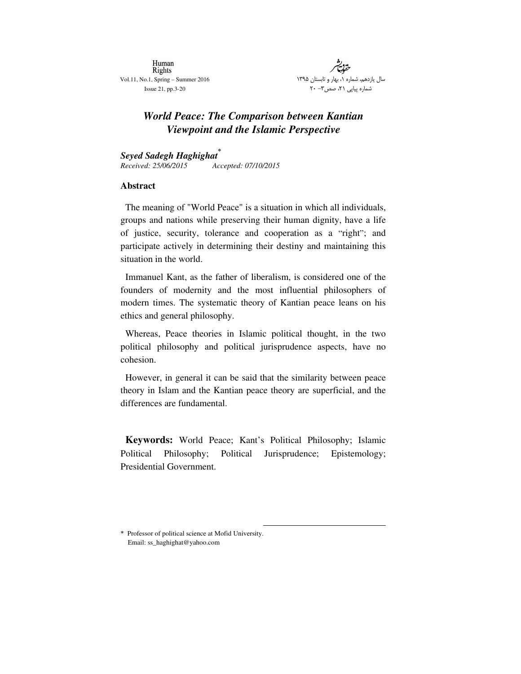Human **Rights** Vol.11, No.1, Spring – Summer 2016 Issue 21, pp.3-20

ان ۱۳۹۵ ابست ار و ت اره <mark>۱،</mark> ب<u>ه</u> سال يازدهم، شم شماره پیاپی ۲۱، صص۳- ۲۰

# *World Peace: The Comparison between Kantian Viewpoint and the Islamic Perspective*

*Seyed Sadegh Haghighat Received: 25/06/2015 Accepted: 07/10/2015*

#### **Abstract**

The meaning of "World Peace" is a situation in which all individuals, groups and nations while preserving their human dignity, have a life of justice, security, tolerance and cooperation as a "right"; and participate actively in determining their destiny and maintaining this situation in the world.

Immanuel Kant, as the father of liberalism, is considered one of the founders of modernity and the most influential philosophers of modern times. The systematic theory of Kantian peace leans on his ethics and general philosophy.

Whereas, Peace theories in Islamic political thought, in the two political philosophy and political jurisprudence aspects, have no cohesion.

However, in general it can be said that the similarity between peace theory in Islam and the Kantian peace theory are superficial, and the differences are fundamental.

**Keywords:** World Peace; Kant's Political Philosophy; Islamic Political Philosophy; Political Jurisprudence; Epistemology; Presidential Government.

 Professor of political science at Mofid University. Email: ss\_haghighat@yahoo.com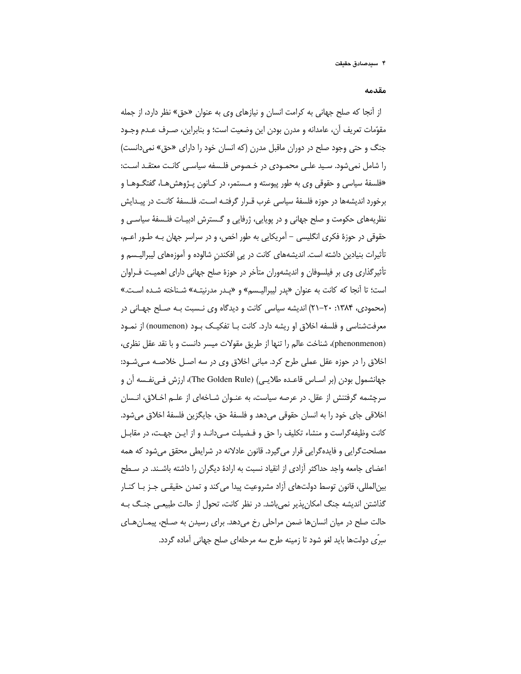مقدمه

از أنجا كه صلح جهاني به كرامت انسان و نيازهاي وي به عنوان «حق» نظر دارد، از جمله مقوّمات تعريف أن، عامدانه و مدرن بودن اين وضعيت است؛ و بنابراين، صـرف عـدم وجـود جنگ و حتی وجود صلح در دوران ماقبل مدرن (که انسان خود را دارای «حق» نمی دانست) را شامل نمی شود. سبید علـی محمـودی در خـصوص فلـسفه سیاسـی کانـت معتقـد اسـت: «فلسفهٔ سیاسی و حقوقی وی به طور پیوسته و مـستمر، در کـانون پـژوهش هـا، گفتگـوهـا و برخورد اندیشهها در حوزه فلسفهٔ سیاسی غرب قـرار گرفتـه اسـت. فلـسفهٔ کانـت در پیـدایش نظریههای حکومت و صلح جهانی و در پویایی، ژرفایی و گـسترش ادبیـات فلـسفهٔ سیاسـی و حقوقی در حوزهٔ فکری انگلیسی – آمریکایی به طور اخص، و در سراسر جهان بـه طـور اعـم، تأثیرات بنیادین داشته است. اندیشههای کانت در پی افکندن شالوده و آموزههای لیبرالیـسم و تأثیرگذاری وی بر فیلسوفان و اندیشهوران متأخر در حوزهٔ صلح جهانی دارای اهمیت فـراوان است؛ تا آنجا که کانت به عنوان «پدر لیبرالیـسم» و «پـدر مدرنیتـه» شـناخته شـده اسـت.» (محمودی، ۱۳۸۴: ۲۰-۲۱) اندیشه سیاسی کانت و دیدگاه وی نسبت بـه صـلح جهـانی در معرفتشناسی و فلسفه اخلاق او ریشه دارد. کانت بـا تفکیـک بـود (noumenon) از نمـود (phenonmenon)، شناخت عالم را تنها از طريق مقولات ميسر دانست و با نقد عقل نظرى، اخلاق را در حوزه عقل عملی طرح کرد. مبانی اخلاق وی در سه اصـل خلاصـه مـیشـود: جهانشمول بودن (بر اسـاس قاعـده طلايـي) (The Golden Rule)، ارزش فـيiفـسه آن و سرچشمه گرفتنش از عقل. در عرصه سیاست، به عنـوان شـاخهای از علـم اخـلاق، انـسان اخلاقي جاي خود را به انسان حقوقي ميدهد و فلسفهٔ حق، جايگزين فلسفهٔ اخلاق ميشود. کانت وظیفه گراست و منشاء تکلیف را حق و فـضیلت مـی دانـد و از ایـن جهـت، در مقابـل مصلحتگرایی و فایدهگرایی قرار می گیرد. قانون عادلانه در شرایطی محقق می شود که همه اعضای جامعه واجد حداکثر آزادی از انقیاد نسبت به ارادهٔ دیگران را داشته باشـند. در سـطح بین|لمللی، قانون توسط دولتهای آزاد مشروعیت پیدا می کند و تمدن حقیقـی جـز بـا کنـار گذاشتن اندیشه جنگ امکان پذیر نمی باشد. در نظر کانت، تحول از حالت طبیعـی جنـگ بـه حالت صلح در میان انسانها ضمن مراحلی رخ میدهد. برای رسیدن به صـلح، پیمـانهـای سرّی دولتها باید لغو شود تا زمینه طرح سه مرحلهای صلح جهانی آماده گردد.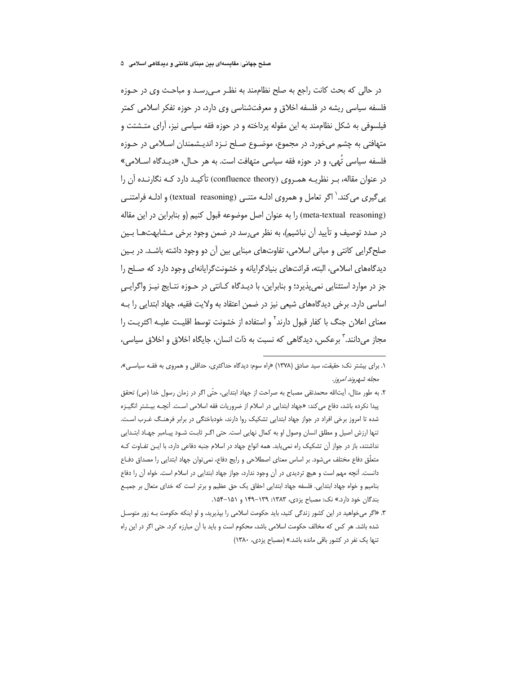در حالي كه بحث كانت راجع به صلح نظاممند به نظـر مـي رسـد و مباحـث وي در حـوزه فلسفه سیاسی ریشه در فلسفه اخلاق و معرفتشناسی وی دارد، در حوزه تفکر اسلامی کمتر فیلسوفی به شکل نظاممند به این مقوله پرداخته و در حوزه فقه سیاسی نیز، آرای متـشتت و متهافتی به چشم میخورد. در مجموع، موضــوع صــلح نــزد اندیــشمندان اســلامی در حــوزه فلسفه سیاسی تَهی، و در حوزه فقه سیاسی متهافت است. به هر حـال، «دیـدگاه اسـلامی» در عنوان مقاله، بـر نظریـه همـروی (confluence theory) تأکیـد دارد کـه نگارنـده آن را پے گیری می کند. ٰ اگر تعامل و همروی ادلـه متنـی (textual\_reasoning) و ادلـه فرامتنـی (meta-textual reasoning) را به عنوان اصل موضوعه قبول كنيم (و بنابراين در اين مقاله در صدد توصیف و تأیید آن نباشیم)، به نظر می رسد در ضمن وجود برخی مـشابهتهـا بـین صلح گرایی کانتی و مبانی اسلامی، تفاوتهای مبنایی بین آن دو وجود داشته باشـد. در بـین دیدگاههای اسلامی، البته، قرائتهای بنیادگرایانه و خشونتگرایانهای وجود دارد که صلح را جز در موارد استثنایی نمیپذیرد؛ و بنابراین، با دیـدگاه کـانتی در حـوزه نتـایج نیـز واگرایـی اساسی دارد. برخی دیدگاههای شیعی نیز در ضمن اعتقاد به ولایت فقیه، جهاد ابتدایی را بـه معنای اعلان جنگ با کفار قبول دارند<sup>۲</sup> و استفاده از خشونت توسط اقلیـت علیـه اکثریـت را مجاز می دانند.<sup>۳</sup> برعکس، دیدگاهی که نسبت به ذات انسان، جایگاه اخلاق و اخلاق سیاسی،

- ٢. به طور مثال، آيتالله محمدتقى مصباح به صراحت از جهاد ابتدايي، حتَّى اگر در زمان رسول خدا (ص) تحقق پیدا نکرده باشد، دفاع می کند: «جهاد ابتدایی در اسلام از ضروریات فقه اسلامی است. آنچـه بیـشتر انگیـزه شده تا امروز برخی افراد در جواز جهاد ابتدایی تشکیک روا دارند، خودباختگی در برابر فرهنگ غـرب اسـت. تنها ارزش اصیل و مطلق انسان وصول او به کمال نهایی است. حتی اگـر ثابـت شـود پیـامبر جهـاد ابتـدایی نداشتند، باز در جواز آن تشکیک راه نمی یابد. همه انواع جهاد در اسلام جنبه دفاعی دارد، با ایـن تفـاوت کـه متعلّق دفاع مختلف میشود. بر اساس معنای اصطلاحی و رایج دفاع، نمیتوان جهاد ابتدایی را مصداق دفـاع دانست. آنچه مهم است و هیچ تردیدی در آن وجود ندارد، جواز جهاد ابتدایی در اسلام است. خواه آن را دفاع بنامیم و خواه جهاد ابتدایی. فلسفه جهاد ابتدایی احقاق یک حق عظیم و برتر است که خدای متعال بر جمیـع بندگان خود دارد.» نک: مصباح یزدی، ۱۳۸۳: ۱۳۹–۱۴۹ و ۱۵۱–۱۵۴.
- ۳. «اگر میخواهید در این کشور زندگی کنید، باید حکومت اسلامی را بپذیرید، و لو اینکه حکومت بـه زور متوسـل شده باشد. هر کس که مخالف حکومت اسلامی باشد، محکوم است و باید با آن مبارزه کرد. حتی اگر در این راه تنها یک نفر در کشور باقی مانده باشد.» (مصباح یزدی، ۱۳۸۰)

۱. برای بیشتر نک: حقیقت، سید صادق (۱۳۷۸) «راه سوم: دیدگاه حداکثری، حداقلی و همروی به فقـه سیاسـی»، مجله شهروند امروز.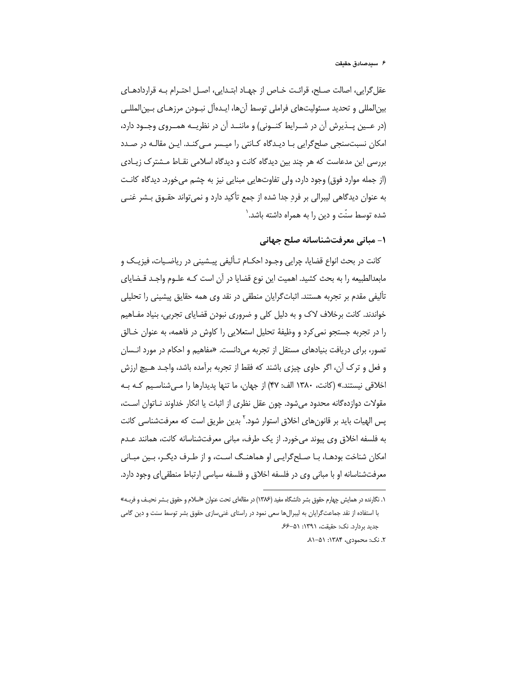#### ۶ سيدصادق حقيقت

عقل گرایی، اصالت صـلح، قرائـت خـاص از جهـاد ابتـدایی، اصـل احتـرام بـه قراردادهـای بین|لمللی و تحدید مسئولیتهای فراملی توسط آنها، ایـدهآل نبـودن مرزهـای بـین|لمللـی (در عــين پــذيرش آن در شــرايط كنــونى) و ماننــد آن در نظريــه همــروى وجــود دارد، امکان نسبتسنجی صلح گرایی بـا دیـدگاه کـانتی را میـسر مـی کنـد. ایـن مقالـه در صـدد بررسی این مدعاست که هر چند بین دیدگاه کانت و دیدگاه اسلامی نقـاط مــشترک زیـادی (از جمله موارد فوق) وجود دارد، ولي تفاوتهايي مبنايي نيز به چشم مي خورد. ديدگاه كانـت به عنوان دیدگاهی لیبرالی بر فرد جدا شده از جمع تأکید دارد و نمی تواند حقـوق بـشر غنـی شده توسط سنّت و دین را به همراه داشته باشد.`

## ١- مباني معرفتشناسانه صلح جهاني

كانت در بحث انواع قضايا، چرايي وجـود احكـام تـأليفي پيــشيني در رياضـيات، فيزيـك و مابعدالطبیعه را به بحث کشید. اهمیت این نوع قضایا در آن است کـه علـوم واجـد قـضایای تألیفی مقدم بر تجربه هستند. اثباتگرایان منطقی در نقد وی همه حقایق پیشینی را تحلیلی خواندند. کانت برخلاف لاک و به دلیل کلی و ضروری نبودن قضایای تجربی، بنیاد مفـاهیم را در تجربه جستجو نمی کرد و وظیفهٔ تحلیل استعلایی را کاوش در فاهمه، به عنوان خـالق تصور، برای دریافت بنیادهای مستقل از تجربه میدانست. «مفاهیم و احکام در مورد انـسان و فعل و ترک آن، اگر حاوی چیزی باشند که فقط از تجربه برآمده باشد، واجـد هـیچ ارزش اخلاقی نیستند.» (کانت، ۱۳۸۰ الف: ۴۷) از جهان، ما تنها پدیدارها را می شناسیم کـه بـه مقولات دوازدهگانه محدود می شود. چون عقل نظری از اثبات یا انکار خداوند نـاتوان اسـت، پس الهیات باید بر قانون های اخلاق استوار شود.<sup>۲</sup> بدین طریق است که معرفتشناسی کانت به فلسفه اخلاق وي پيوند ميخورد. از يک طرف، مباني معرفتشناسانه كانت، همانند عـدم امکان شناخت بودهـا، بـا صـلح۶رايـي او هماهنـگ اسـت، و از طـرف ديگـر، بـين مبـاني معرفتشناسانه او با مبانی وی در فلسفه اخلاق و فلسفه سیاسی ارتباط منطقی ای وجود دارد.

۱. نگارنده در همایش چهارم حقوق بشر دانشگاه مفید (۱۳۸۶) در مقالهای تحت عنوان «اسلام و حقوق بـشر نحیـف و فربـه» با استفاده از نقد جماعت گرایان به لیبرالها سعی نمود در راستای غنیسازی حقوق بشر توسط سنت و دین گامی جدید بردارد. نک: حقیقت، ۱۳۹۱: ۶۶-۶۶

٢. نک: محمودی، ١٣٨۴: ۵۱–٨١.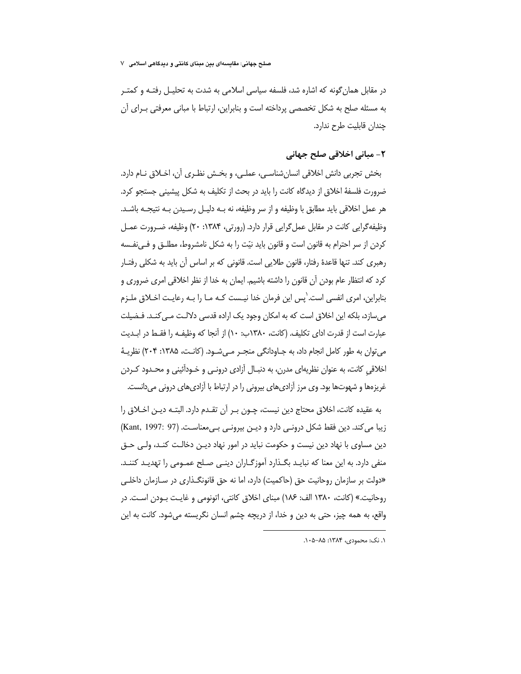صلح جهانی: مقایسهای بین مبنای کانتی و دیدگاهی اسلامی ∨

در مقابل همان گونه که اشاره شد، فلسفه سیاسی اسلامی به شدت به تحلیـل رفتـه و کمتـر به مسئله صلح به شکل تخصصی پرداخته است و بنابراین، ارتباط با مبانی معرفتی بــرای آن چندان قابلیت طرح ندارد.

## ٢- مباني اخلاقي صلح جهاني

بخش تجربي دانش اخلاقي انسانِشناسـي، عملـي، و بخـش نظـري أن، اخـلاق نــام دارد. ضرورت فلسفهٔ اخلاق از دیدگاه کانت را باید در بحث از تکلیف به شکل پیشینی جستجو کرد. هر عمل اخلاقی باید مطابق با وظیفه و از سر وظیفه، نه بـه دلیـل رسـیدن بـه نتیجـه باشـد. وظيفه گرايي كانت در مقابل عمل گرايي قرار دارد. (رورتي، ۱۳۸۴: ۲۰) وظيفه، ضـرورت عمـل کردن از سر احترام به قانون است و قانون باید نیّت را به شکل نامشروط، مطلـق و فـیiفـسه رهبری کند. تنها قاعدهٔ رفتار، قانون طلایی است. قانونی که بر اساس آن باید به شکلی رفتـار کرد که انتظار عام بودن آن قانون را داشته باشیم. ایمان به خدا از نظر اخلاقی امری ضروری و بنابراین، امری انفسی است. ٰیس این فرمان خدا نیـست کـه مـا را بـه رعایـت اخـلاق ملـزم میسازد، بلکه این اخلاق است که به امکان وجود یک اراده قدسی دلالت مـی کنـد. فـضیلت عبارت است از قدرت ادای تکلیف. (کانت، ۱۳۸۰ب: ۱۰) از آنجا که وظیفـه را فقـط در ابـدیت می توان به طور کامل انجام داد، به جـاودانگی منجـر مـی شـود. (کانـت، ۱۳۸۵: ۲۰۴) نظریـهٔ اخلاقی کانت، به عنوان نظریهای مدرن، به دنبـال آزادی درونـی و خـودآئینی و محـدود کـردن غریزهها و شهوتها بود. وی مرز آزادیهای بیرونی را در ارتباط با آزادیهای درونی میدانست.

به عقيده كانت، اخلاق محتاج دين نيست، چـون بـر أن تقـدم دارد. البتـه ديـن اخـلاق را زيبا مي كند. دين فقط شكل درونـي دارد و ديـن بيرونـي بـي،معناسـت. (Kant, 1997: 97) دین مساوی با نهاد دین نیست و حکومت نباید در امور نهاد دیـن دخالـت کنـد، ولـی حـق منفی دارد. به این معنا که نبایـد بگـذارد آموزگـاران دینـی صـلح عمـومی را تهدیـد کننـد. «دولت بر سازمان روحانیت حق (حاکمیت) دارد، اما نه حق قانونگـذاری در سـازمان داخلـی روحانيت.» (كانت، ١٣٨٠ الف: ١٨۶) مبناى اخلاق كانتي، اتونومي و غايـت بـودن اسـت. در واقع، به همه چیز، حتی به دین و خدا، از دریچه چشم انسان نگریسته میشود. کانت به این

٠١ نک: محمودی، ١٣٨۴: ٨۵–٠١۵.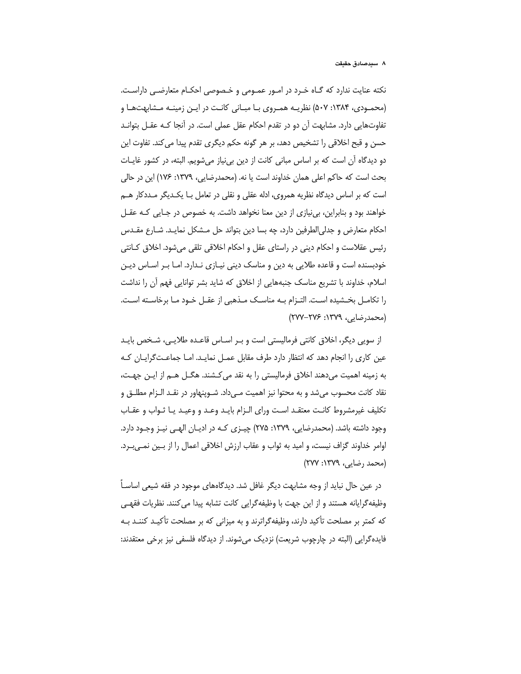نکته عنایت ندارد که گـاه خـرد در امـور عمـومی و خـصوصی احکـام متعارضـی داراسـت. (محمـودی، ۱۳۸۴: ۵۰۷) نظریـه همـروی بـا مبـانی کانـت در ایـن زمینـه مـشابهتهـا و تفاوتهایی دارد. مشابهت آن دو در تقدم احکام عقل عملی است. در آنجا کـه عقــل بتوانــد حسن و قبح اخلاقی را تشخیص دهد، بر هر گونه حکم دیگری تقدم پیدا می کند. تفاوت این دو دیدگاه آن است که بر اساس مبانی کانت از دین بی نیاز میشویم. البته، در کشور غایـات بحث است كه حاكم اعلى همان خداوند است يا نه. (محمدرضايي، ١٣٧٩: ١٧۶) اين در حالي است که بر اساس دیدگاه نظریه همروی، ادله عقلی و نقلی در تعامل بـا یکـدیگر مـددکار هـم خواهند بود و بنابراین، بی نیازی از دین معنا نخواهد داشت. به خصوص در جـایی کـه عقـل احکام متعارض و جدلی|لطرفین دارد، چه بسا دین بتواند حل مـشکل نمایـد. شــارع مقــدس رئیس عقلاست و احکام دینی در راستای عقل و احکام اخلاقی تلقی میشود. اخلاق کـانتی خودبسنده است و قاعده طلایی به دین و مناسک دینی نیـازی نـدارد. امـا بـر اسـاس دیـن اسلام، خداوند با تشریع مناسک جنبههایی از اخلاق که شاید بشر توانایی فهم آن را نداشت را تكامـل بخـشيده اسـت. التـزام بـه مناسـك مـذهبي از عقـل خـود مـا برخاسـته اسـت. (محمدرضایی، ۱۳۷۹: ۲۷۶–۲۷۷)

از سویی دیگر، اخلاق کانتی فرمالیستی است و بـر اسـاس قاعـده طلایـی، شـخص بایـد عین کاری را انجام دهد که انتظار دارد طرف مقابل عمـل نمایـد. امـا جماعـتگرایـان کـه به زمینه اهمیت می(دهند اخلاق فرمالیستی را به نقد می)کشند. هگـل هــم از ایــن جهـت، نقاد كانت محسوب مى شد و به محتوا نيز اهميت مـى داد. شـوينهاور در نقـد الـزام مطلــق و تكليف غيرمشروط كانت معتقـد اسـت وراى الـزام بايـد وعـد و وعيـد يـا ثـواب و عقـاب وجود داشته باشد. (محمدرضایی، ۱۳۷۹: ۲۷۵) چیـزی کـه در ادیـان الهـی نیـز وجـود دارد. اوامر خداوند گزاف نیست، و امید به ثواب و عقاب ارزش اخلاقی اعمال را از بین نمبی به د. (محمد رضایی، ۱۳۷۹: ۲۷۷)

در عین حال نباید از وجه مشابهت دیگر غافل شد. دیدگاههای موجود در فقه شیعی اساسـآ وظيفه گرايانه هستند و از اين جهت با وظيفه گرايي كانت تشابه پيدا مي كنند. نظريات فقهـي که کمتر بر مصلحت تأکید دارند، وظیفهگراترند و به میزانی که بر مصلحت تأکیـد کننـد بـه فایده گرایی (البته در چارچوب شریعت) نزدیک می شوند. از دیدگاه فلسفی نیز برخی معتقدند: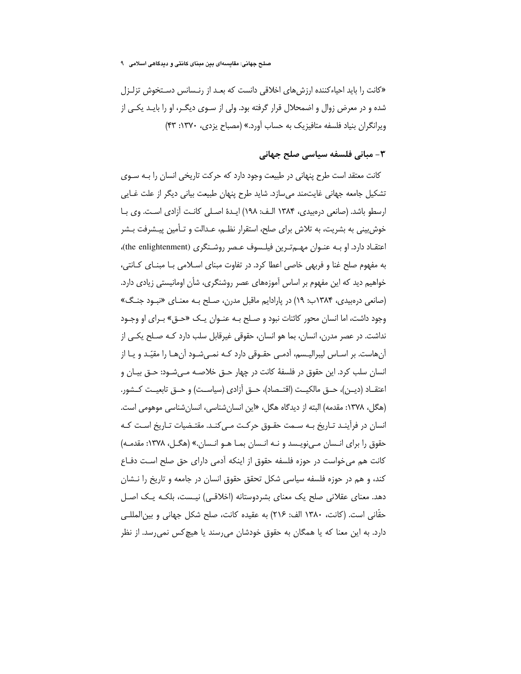صلح جهانی: مقایسهای بین مبنای کانتی و دیدگاهی اسلامی ۹

«کانت را باید احیاءکننده ارزش های اخلاقی دانست که بعد از رنسانس دستخوش تزلزل شده و در معرض زوال و اضمحلال قرار گرفته بود. ولی از سـوی دیگـر، او را بایـد یکـی از ویرانگران بنیاد فلسفه متافیزیک به حساب آورد.» (مصباح یزدی، ۱۳۷۰: ۴۳)

# ۳– مبانے، فلسفه سیاسی صلح جهانی

کانت معتقد است طرح پنهانی در طبیعت وجود دارد که حرکت تاریخی انسان را بـه سـوی تشکیل جامعه جهانی غایتمند می سازد. شاید طرح پنهان طبیعت بیانی دیگر از علت غـایی ارسطو باشد. (صانعی درهبیدی، ۱۳۸۴ الـف: ۱۹۸) ایـدهٔ اصـلی کانـت آزادی اسـت. وی بـا خوش بینی به بشریت، به تلاش برای صلح، استقرار نظـم، عـدالت و تـأمین پیـشرفت بـشر اعتقـاد دارد. او بـه عنـوان مهـمتـرين فيلـسوف عـصر روشـنگرى (the enlightenment)، به مفهوم صلح غنا و فربهی خاصی اعطا کرد. در تفاوت مبنای اسلامی بـا مبنـای کـانتی، خواهیم دید که این مفهوم بر اساس آموزههای عصر روشنگری، شأن اومانیستی زیادی دارد. (صانعی درهبیدی، ۱۳۸۴ب: ۱۹) در پارادایم ماقبل مدرن، صلح به معنای «نبود جنگ» وجود داشت، اما انسان محور كائنات نبود و صـلح بـه عنـوان يـك «حـق» بـراى او وجـود نداشت. در عصر مدرن، انسان، بما هو انسان، حقوقی غیرقابل سلب دارد کـه صـلح یکـی از آنهاست. بر اسـاس ليبراليـسم، آدمـي حقـوقي دارد كـه نمـي شـود آنهـا را مقيّـد و يـا از انسان سلب کرد. این حقوق در فلسفهٔ کانت در چهار حــق خلاصــه مــیشــود: حــق بیــان و اعتقــاد (ديــن)، حــق مالكيــت (اقتــصاد)، حــق آزادي (سياســت) و حــق تابعيــت كــشور. (هگل، ۱۳۷۸: مقدمه) البته از دیدگاه هگل، «این انسان شناسی، انسان شناسی موهومی است. انسان در فرآینـد تـاریخ بـه سـمت حقـوق حرکـت مـی کنـد. مقتـضیات تـاریخ اسـت کـه حقوق را برای انـسان مـی;ویـسد و نـه انـسان بمـا هـو انـسان.» (هگـل، ۱۳۷۸: مقدمـه) کانت هم می خواست در حوزه فلسفه حقوق از اینکه آدمی دارای حق صلح است دفـاع کند، و هم در حوزه فلسفه سیاسی شکل تحقق حقوق انسان در جامعه و تاریخ را نــشان دهد. معنای عقلانی صلح یک معنای بشردوستانه (اخلاقے) نیـست، بلکـه یـک اصـل حقّاني است. (كانت، ١٣٨٠ الف: ٢١۶) به عقيده كانت، صلح شكل جهاني و بين المللي دارد. به این معنا که یا همگان به حقوق خودشان می٫سند یا هیچکس نمی٫رسد. از نظر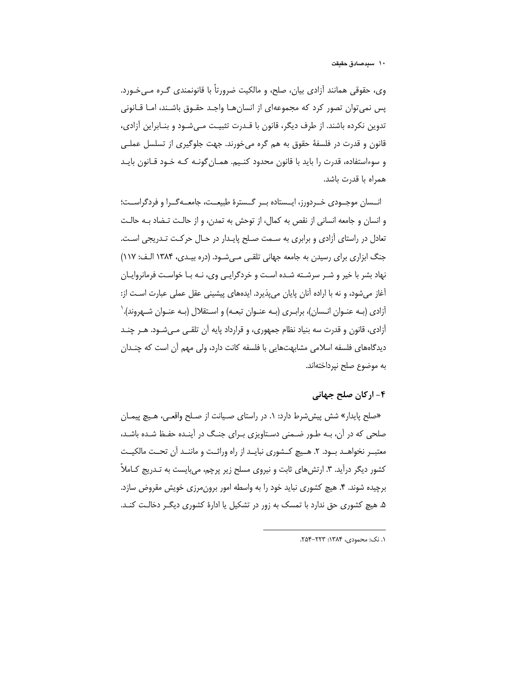وي، حقوقي همانند آزادي بيان، صلح، و مالکيت ضرورتاً يا قانونمندي گـره مـي خـورد. پس نمی توان تصور کرد که مجموعهای از انسان هـا واجـد حقـوق باشـند، امـا قـانونی تدوین نکرده باشند. از طرف دیگر، قانون با قـدرت تثبیـت مـیشـود و بنـابراین آزادی، قانون و قدرت در فلسفهٔ حقوق به هم گره میخورند. جهت جلوگیری از تسلسل عملـی و سوءاستفاده، قدرت را باید با قانون محدود کنـیم. همـان گونـه کـه خـود قـانون بایـد همراه با قدرت باشد.

انــسان موجــودي خــردورز، ايــستاده بــر گــسترهٔ طبيعــت، جامعــهگــرا و فردگراســت؛ و انسان و جامعه انسانی از نقص به کمال، از توحش به تمدن، و از حالـت تـضاد بـه حالـت تعادل در راستای آزادی و برابری به سـمت صـلح پایـدار در حـال حرکـت تـدریجی اسـت. جنگ ابزاری برای رسیدن به جامعه جهانی تلقبی مبی شـود. (دره بیـدی، ۱۳۸۴ الـف: ۱۱۷) نهاد بشر با خیر و شـر سرشـته شـده اسـت و خردگرایـی وی، نـه بـا خواسـت فرمانروایـان آغاز می شود، و نه با اراده آنان پایان می پذیرد. ایدههای پیشینی عقل عملی عبارت است از: آزادی (بـه عنـوان انـسان)، برابـری (بـه عنـوان تبعـه) و اسـتقلال (بـه عنـوان شـهروند).` آزادی، قانون و قدرت سه بنیاد نظام جمهوری، و قرارداد پایه آن تلقبی مبیشـود. هـر چنـد دیدگاههای فلسفه اسلامی مشابهتهایی با فلسفه کانت دارد، ولی مهم آن است که چندان به موضوع صلح نیرداختهاند.

### ۴– ارکان صلح جهانی

«صلح پایدار» شش پیش شرط دارد: ۱. در راستای صـیانت از صـلح واقعـی، هـیچ پیمـان صلحی که در آن، بـه طـور ضـمنی دسـتاویزی بـرای جنـگ در آینـده حفـظ شـده باشـد، معتبـر نخواهــد بــود. ٢. هــيچ كــشورى نبايــد از راه وراثــت و ماننــد آن تحــت مالكيــت کشور دیگر درأید. ۳. ارتشهای ثابت و نیروی مسلح زیر پرچم، میبایست به تـدریج کـاملاً برچیده شوند. ۴. هیچ کشوری نباید خود را به واسطه امور برون مرزی خویش مقروض سازد. ۵. هیچ کشوری حق ندارد با تمسک به زور در تشکیل یا ادارهٔ کشوری دیگ ر دخالـت کنـد.

١. نک: محمودی، ۱۳۸۴: ۲۲۳–۲۵۴.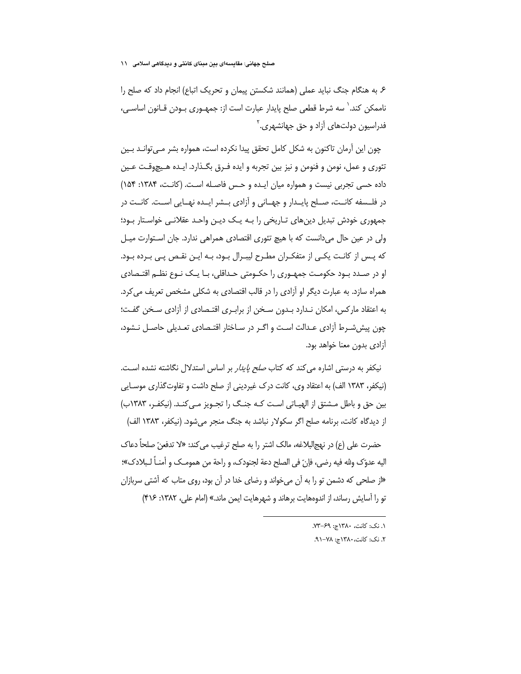صلح جهانی: مقایسهای بین مبنای کانتی و دیدگاهی اسلامی ۱۱

۶. به هنگام جنگ نباید عملی (همانند شکستن پیمان و تحریک اتباع) انجام داد که صلح را ناممکن کند.` سه شرط قطعی صلح پایدار عبارت است از: جمهـوری بـودن قـانون اساسـی، فدراسیون دولتهای آزاد و حق جهانشهری.<sup>۲</sup>

چون این آرمان تاکنون به شکل کامل تحقق پیدا نکرده است، همواره بشر میتوانـد بـین تئوري و عمل، نومن و فنومن و نيز بين تجربه و ايده فـرق بگـذارد. ايـده هـيچوقـت عـين داده حسی تجربی نیست و همواره میان ایـده و حس فاصـله اسـت. (کانـت، ۱۳۸۴: ۱۵۴) در فلـسفه كانـت، صـلح پايـدار و جهـاني و آزادي بـشر ايـده نهـايي اسـت. كانـت در جمهوری خودش تبدیل دینهای تـاریخی را بـه یـک دیـن واحـد عقلانـی خواسـتار بـود؛ ولی در عین حال میدانست که با هیچ تئوری اقتصادی همراهی ندارد. جان استوارت میل که پس از کانت یکی از متفکـران مطـرح لیبـرال بـود، بـه ایـن نقـص پـی بـرده بـود. او در صـدد بـود حکومـت جمهـوري را حکـومتي حـداقلي، بـا يـک نـوع نظـم اقتـصادي همراه سازد. به عبارت دیگر او آزادی را در قالب اقتصادی به شکلی مشخص تعریف می کرد. به اعتقاد مارکس، امکان نـدارد بـدون سـخن از برابـری اقتـصادی از آزادی سـخن گفـت؛ چون پیششرط آزادی عـدالت اسـت و اگـر در سـاختار اقتـصادی تعـدیلی حاصـل نـشود، آزادی بدون معنا خواهد بود.

نیکفر به درستی اشاره می کند که کتاب *صلح پایدار* بر اساس استدلال نگاشته نشده اسـت. (نیکفر، ۱۳۸۳ الف) به اعتقاد وی، کانت درک غیردینی از صلح داشت و تفاوت گذاری موسـایی بین حق و باطل مــشتق از الهیــاتی اســت کــه جنــگ را تجــویز مــی کنــد. (نیکفــر، ۱۳۸۳(ب) از دیدگاه کانت، برنامه صلح اگر سکولار نباشد به جنگ منجر می شود. (نیکفر، ۱۳۸۳ الف)

حضرت على (ع) در نهج|لبلاغه، مالک اشتر ,ا به صلح ترغي*ب مي کند*: «لا تدفعن ّ صلحاً دعاک اليه عدوّک ولله فيه رضي، فإنّ في الصلح دعة لجنودک، و راحة من همومــک و أمنــاً لــبلادک»؛ «از صلحی که دشمن تو را به آن می خواند و رضای خدا در آن بود، روی متاب که آشتی سربازان تو را آسایش رساند، از اندوههایت برهاند و شهرهایت ایمن ماند.» (امام علی، ۱۳۸۲: ۴۱۶)

١. نک: کانت، ١٣٨٠ج: ۶٩-٧٣.

٢. نک: کانت، ١٣٨٠ج: ٧٨-٩١.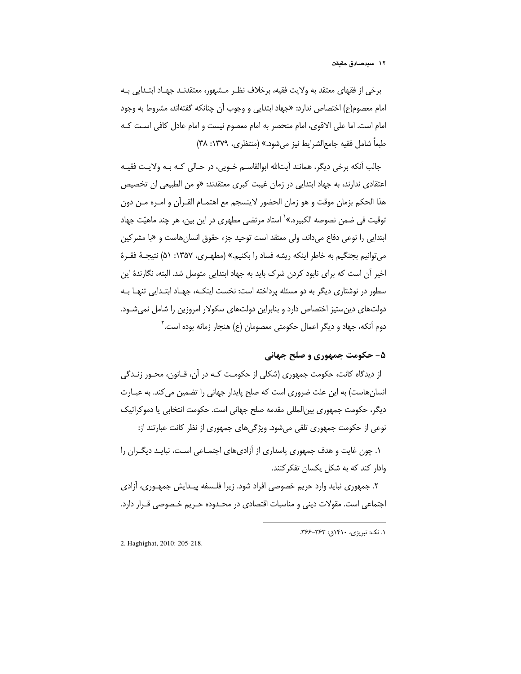برخی از فقهای معتقد به ولایت فقیه، برخلاف نظـر مـشهور، معتقدنـد جهـاد ابتـدایی بـه امام معصوم(ع) اختصاص ندارد: «جهاد ابتدابی و وجوب آن چنانکه گفتهاند، مشروط به وجود امام است. اما علی الاقوی، امام منحصر به امام معصوم نیست و امام عادل کافی است کـه طبعاً شامل فقيه جامع|لشرايط نيز مي شود.» (منتظرى، ١٣٧٩: ٣٨)

جالب أنكه برخي ديگر، همانند أيتالله ابوالقاسـم خـويي، در حـالي كـه بـه ولايـت فقيـه اعتقادی ندارند، به جهاد ابتدایی در زمان غیبت کبری معتقدند: «و من الطبیعی ان تخصیص هذا الحكم بزمان موقت و هو زمان الحضور لاينسجم مع اهتمـام القـرأن و امـره مـن دون توقيت في ضمن نصوصه الكبيره.»` استاد مرتضى مطهرى در اين بين، هر چند ماهيّت جهاد ابتدایی را نوعی دفاع میداند، ولی معتقد است توحید جزء حقوق انسان هاست و «با مشرکین مي توانيم بجنگيم به خاطر اينكه ريشه فساد را بكنيم.» (مطهـري، ١٣۵٧: ۵۱) نتيجـهٔ فقـرهٔ اخیر آن است که برای نابود کردن شرک باید به جهاد ابتدایی متوسل شد. البته، نگارندهٔ این سطور در نوشتاری دیگر به دو مسئله پرداخته است: نخست اینکـه، جهـاد ابتـدایی تنهـا بـه دولتهای دین ستیز اختصاص دارد و بنابراین دولتهای سکولار امروزین را شامل نمی شود. دوم آنکه، جهاد و دیگر اعمال حکومتی معصومان (ع) هنجار زمانه بوده است. ٔ

# ۵- حکومت جمهوري و صلح جهاني

از دیدگاه کانت، حکومت جمهوری (شکلی از حکومـت کـه در آن، قـانون، محـور زنـدگی انسانِ هاست) به این علت ضروری است که صلح پایدار جهانی را تضمین می کند. به عبـارت دیگر، حکومت جمهوری بین|لمللی مقدمه صلح جهانی است. حکومت انتخابی یا دموکراتیک نوعی از حکومت جمهوری تلقی میشود. ویژگیهای جمهوری از نظر کانت عبارتند از:

۱. چون غایت و هدف جمهوری پاسداری از آزادیهای اجتمـاعی اسـت، نبایـد دیگـران را وادار کند که به شکل یکسان تفکر کنند.

۲. جمهوری نباید وارد حریم خصوصی افراد شود. زیرا فلـسفه پیـدایش جمهــوری، آزادی اجتماعی است. مقولات دینی و مناسبات اقتصادی در محـدوده حـریم خـصوصی قـرار دارد.

١. نک: تبریزی، ١۴١٠ق: ٣۶٣-٣۶۶.

2. Haghighat, 2010: 205-218.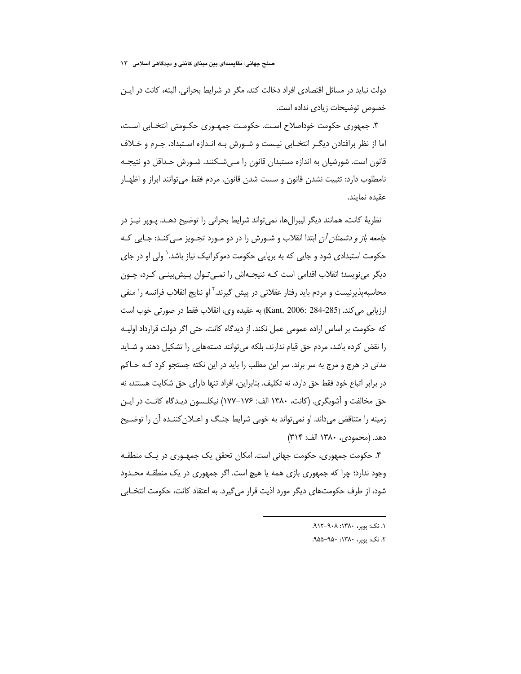صلح جهانی: مقایسهای بین مبنای کانتی و دیدگاهی اسلامی ۱۳

دولت نباید در مسائل اقتصادی افراد دخالت کند، مگر در شرایط بحرانی. البته، کانت در ایـن خصوص توضیحات زیادی نداده است.

۳. جمهوری حکومت خوداصلاح است. حکومت جمهـوری حکـومتی انتخـابی اسـت، اما از نظر برافتادن دیگـر انتخـابی نیـست و شـورش بـه انـدازه اسـتبداد، جـرم و خـلاف قانون است. شورشیان به اندازه مستبدان قانون را مـیشـکنند. شـورش حـداقل دو نتیجـه نامطلوب دارد: تثبیت نشدن قانون و سست شدن قانون. مردم فقط می توانند ابراز و اظهـار عقيده نمايند.

نظریهٔ کانت، همانند دیگر لیبرالها، نمی¤واند شرایط بحرانی را توضیح دهـد. پـوپر نیـز در *جامعه باز و دشمنان آن* ابتدا انقلاب و شـورش را در دو مـورد تجـویز مـی کنـد: جـایی کـه حکومت استبدادی شود و جایی که به برپایی حکومت دموکراتیک نیاز باشد.` ولی او در جای دیگر مینویسد؛ انقلاب اقدامی است کـه نتیجـهاش را نمـیتـوان پـیش،بینـی کـرد، چـون محاسبهپذیرنیست و مردم باید رفتار عقلانی در پیش گیرند.<sup>۲</sup> او نتایج انقلاب فرانسه را منفی ارزيابي مي كند. (Kant, 2006: 284-285) به عقيده وي، انقلاب فقط در صورتي خوب است كه حكومت بر اساس اراده عمومي عمل نكند. از ديدگاه كانت، حتى اگر دولت قرارداد اوليـه را نقض کرده باشد، مردم حق قیام ندارند، بلکه می توانند دستههایی را تشکیل دهند و شـاید مدتی در هرج و مرج به سر برند. سر این مطلب را باید در این نکته جستجو کرد کـه حـاکم در برابر اتباع خود فقط حق دارد، نه تكليف. بنابراين، افراد تنها داراي حق شكايت هستند، نه حق مخالفت و آشوبگری. (کانت، ۱۳۸۰ الف: ۱۷۶–۱۷۷) نیکلـسون دیـدگاه کانـت در ایـن زمینه را متناقض میداند. او نمی تواند به خوبی شرایط جنـگ و اعــلان کننـده آن را توضـیح دهد. (محمودی، ۱۳۸۰ الف: ۳۱۴)

۴. حکومت جمهوری، حکومت جهانی است. امکان تحقق یک جمهـوری در یـک منطقـه وجود ندارد؛ چرا که جمهوری بازی همه یا هیچ است. اگر جمهوری در یک منطقـه محـدود شود، از طرف حکومتهای دیگر مورد اذیت قرار می گیرد. به اعتقاد کانت، حکومت انتخـابی

١. نک: بوبی ١٣٨٠: ٩٠٨-١١٢.

۲. نک: پوپر، ۱۳۸۰: ۹۵۰–۹۵۵.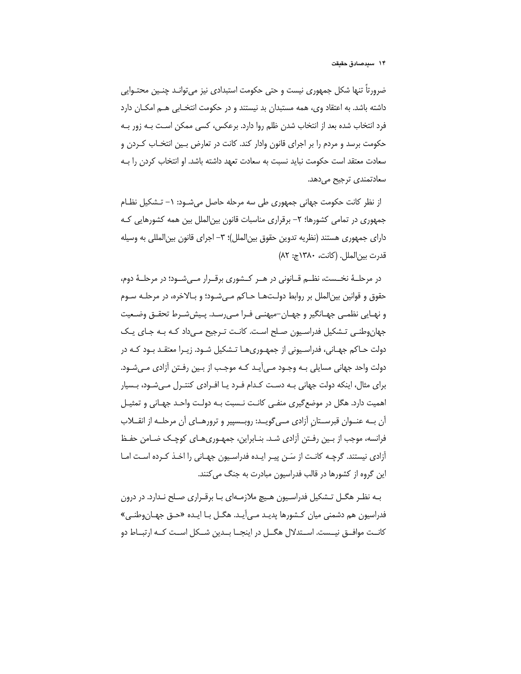ضرورتاً تنها شکل جمهوری نیست و حتی حکومت استبدادی نیز می توانـد چنـین محتـوایی داشته باشد. به اعتقاد وي، همه مستبدان بد نيستند و در حكومت انتخـابي هـم امكـان دارد فرد انتخاب شده بعد از انتخاب شدن ظلم روا دارد. برعکس، کسی ممکن است بـه زور بـه حکومت برسد و مردم را بر اجرای قانون وادار کند. کانت در تعارض بـین انتخـاب کـردن و سعادت معتقد است حکومت نباید نسبت به سعادت تعهد داشته باشد. او انتخاب کردن را بـه سعادتمندي ترجيح ميدهد.

از نظر كانت حكومت جهانى جمهورى طى سه مرحله حاصل مى شود: ١- تشكيل نظام جمهوری در تمامی کشورها؛ ۲– برقراری مناسبات قانون بین|لملل بین همه کشورهایی کـه دارای جمهوری هستند (نظریه تدوین حقوق بین|لملل)؛ ۳– اجرای قانون بین|لمللی به وسیله قدرت بين الملل. (كانت، ١٣٨٠ج: ٨٢)

در مرحلـهٔ نخـست، نظـم قــانوني در هــر كــشوري برقــرار مــی شــود؛ در مرحلــهٔ دوم، حقوق و قوانین بینالملل بر روابط دولتها حاکم مےشود؛ و بالاخرہ، در مرحلـه سـوم و نهـايي نظمـي جهـانگير و جهـان-ميهنـي فـرا مـي٫سـد. پـيششـرط تحقـق وضـعيت جهان وطنبی تشکیل فدراسیون صلح است. کانت تـرجیح مـیcاد کـه بـه جـای یـک دولت حـاکم جهـاني، فدراسـيوني از جمهـوري١ك تـشکيل شـود. زيـرا معتقـد بـود کـه در دولت واحد جهانی مسایلی بـه وجـود مـی]یـد کـه موجـب از بـین رفـتن آزادی مـیشـود. برای مثال، اینکه دولت جهانی بـه دسـت کـدام فـرد یـا افـرادی کنتـرل مـی شـود، بـسیار اهمیت دارد. هگل در موضع گیری منفـی کانـت نـسبت بـه دولـت واحـد جهـانی و تمثیـل أن به عنـوان قبرسـتان أزادي مـي¢ويـد: روبـسپير و ترورهـاي أن مرحلـه از انقــلاب فرانسه، موجب از بـین رفـتن آزادی شـد. بنـابراین، جمهـوری۱عـای کوچـک ضـامن حفـظ آزادی نیستند. گرچـه کانـت از سَـن پیـر ایـده فدراسـیون جهـانی را اخـذ کـرده اسـت امـا این گروه از کشورها در قالب فدراسیون مبادرت به جنگ می کنند.

بـه نظـر هگـل تـشكيل فدراسـيون هـيچ ملازمـهاي بـا برقـراري صـلح نـدارد. در درون فدراسیون هم دشمنی میان کشورها پدیـد مـی]یـد. هگـل بـا ایـده «حـق جهـانوطنـی» کانــت موافــق نيــست. اســتدلال هگــل در اينجــا بــدين شــکل اســت کــه ارتبــاط دو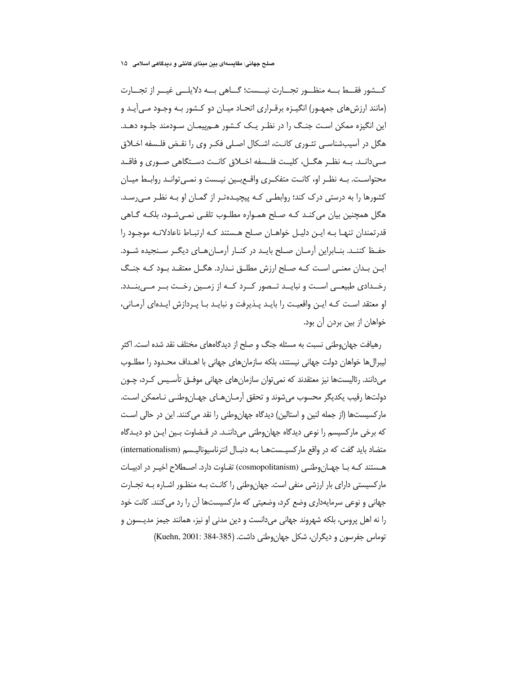صلح جهانی: مقایسهای بین مبنای کانتی و دیدگاهی اسلامی ۔۱۵

كـــشور فقـــط بـــه منظـــور تجـــارت نيـــست؛ گـــاهي بـــه دلايلـــي غيـــر از تجـــارت (مانند ارزش های جمهـور) انگیـزه برقـراری اتحـاد میـان دو کـشور بـه وجـود مـی آیـد و این انگیزه ممکن است جنگ را در نظـر یـک کـشور هــمییمـان سـودمند جلـوه دهـد. هگل در آسیبشناسی تئـوری کانـت، اشـکال اصـلی فکـر وی را نقـض فلـسفه اخـلاق مــ ٍ،دانــد. بــه نظــر هگــل، كليــت فلــسفه اخــلاق كانــت دســتگاهي صــوري و فاقــد محتواسـت. بــه نظـر او، كانــت متفكـرى واقــع بــين نيــست و نمــي توانــد روابــط ميــان کشورها را به درستی درک کند؛ روابطے کـه پیچیـدهتـر از گمـان او بـه نظـر مـی٫سـد. هگل همچنین بیان می کنـد کـه صـلح همـواره مطلـوب تلقـی نمـیشـود، بلکـه گـاهی قدرتمندان تنهـا بـه ايـن دليـل خواهـان صـلح هـستند كـه ارتبـاط ناعادلانـه موجـود را حفـظ کننـد. بنـابراین آرمـان صـلح بایـد در کنـار آرمـان هـای دیگـر سـنجیده شـود. این بـدان معنـی اسـت کـه صـلح ارزش مطلـق نـدارد. هگـل معتقـد بـود کـه جنـگ رخـدادی طبیعــی اسـت و نبایــد تــصور کــرد کــه از زمــین رخــت بــر مــی بنــدد. او معتقد اسـت كـه ايـن واقعيـت را بايـد يـذيرفت و نبايـد بـا يـردازش ايـدهاى آرمـانى، خواهان از بین بردن آن بود.

رهیافت جهان,وطنی نسبت به مسئله جنگ و صلح از دیدگاههای مختلف نقد شده است. اکثر لیبرالها خواهان دولت جهانی نیستند، بلکه سازمانهای جهانی با اهـداف محـدود را مطلـوب میدانند. رئالیستها نیز معتقدند که نمی¤وان سازمانهای جهانی موفــق تأسـیس کـرد، چــون دولتها رقيب يكديگر محسوب مى شوند و تحقق آرمـان هـاى جهـان وطنـى نـاممكن اسـت. مار کسیستها (از جمله لنین و استالین) دیدگاه جهانوطنی را نقد می کنند. این در حالی است که برخی مارکسیسم را نوعی دیدگاه جهانوطنی میداننـد. در قـضاوت بـین ایـن دو دیـدگاه متضاد باید گفت که در واقع مارکسیـستهـا بـه دنبـال انترناسیونالیـسم (internationalism) هـستند کـه بـا جهـان,وطنـی (cosmopolitanism) تفـاوت دارد. اصـطلاح اخیـر در ادبیـات مارکسیستی دارای بار ارزشی منفی است. جهان وطنی را کانـت بـه منظـور اشـاره بـه تجـارت جهانی و نوعی سرمایهداری وضع کرد، وضعیتی که مارکسیستها اُن را رد می کنند. کانت خود را نه اهل پروس، بلكه شهروند جهاني مي‹انست و دين مدني او نيز، همانند جيمز مديـسون و توماس جفرسون و دیگران، شکل جهان وطنی داشت. (Kuehn, 2001: 384-385)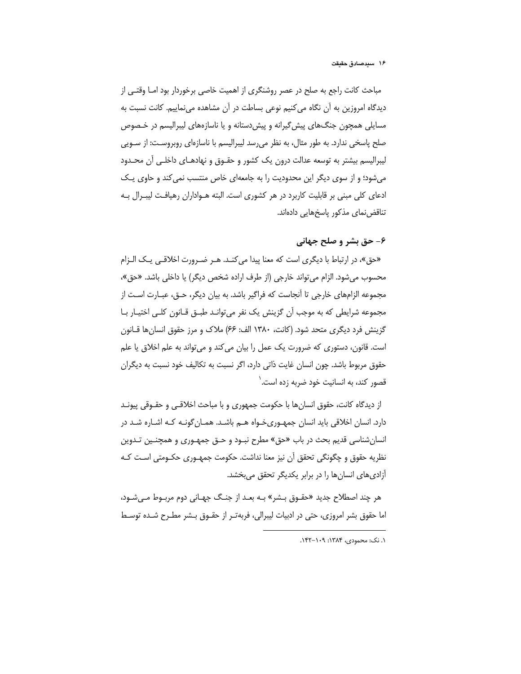مباحث کانت راجع به صلح در عصر روشنگری از اهمیت خاصی برخوردار بود امـا وقتـی از دیدگاه امروزین به آن نگاه می کنیم نوعی بساطت در آن مشاهده می نماییم. کانت نسبت به مسایلی همچون جنگهای پیش گیرانه و پیش دستانه و یا ناسازههای لیبرالیسم در خـصوص صلح پاسخی ندارد. به طور مثال، به نظر می رسد لیبرالیسم با ناسازهای روبروسـت: از سـویی لیبرالیسم بیشتر به توسعه عدالت درون یک کشور و حقـوق و نهادهـای داخلـی آن محـدود می شود؛ و از سوی دیگر این محدودیت را به جامعهای خاص منتسب نمی کند و حاوی یـک ادعای کلی مبنی بر قابلیت کاربرد در هر کشوری است. البته هـواداران رهیافت لیبـرال بـه تناقض نمای مذکور پاسخهایی دادهاند.

## ۶- حق بشر و صلح جهانی

«حق»، در ارتباط با دیگری است که معنا پیدا می کنـد. هـر ضـرورت اخلاقـی یـک الـزام محسوب مي شود. الزام مي تواند خارجي (از طرف اراده شخص ديگر) يا داخلي باشد. «حق»، مجموعه الزامهای خارجی تا آنجاست که فراگیر باشد. به بیان دیگر، حـق، عبـارت اسـت از مجموعه شرایطی که به موجب آن گزینش یک نفر میتوانـد طبــق قــانون کلــی اختیــار بــا گزینش فرد دیگری متحد شود. (کانت، ۱۳۸۰ الف: ۶۶) ملاک و مرز حقوق انسان ها قـانون است. قانون، دستوری که ضرورت یک عمل را بیان می کند و می تواند به علم اخلاق یا علم حقوق مربوط باشد. چون انسان غایت ذاتی دارد، اگر نسبت به تکالیف خود نسبت به دیگران قصور کند، به انسانیت خود ضربه زده است.'

از دیدگاه کانت، حقوق انسانِها با حکومت جمهوری و با مباحث اخلاقـی و حقــوقی پیونــد دارد. انسان اخلاقی باید انسان جمهوریخواه هم باشد. همان گونـه کـه اشـاره شـد در انسان شناسی قدیم بحث در باب «حق» مطرح نبـود و حـق جمهـوری و همچنـین تـدوین نظريه حقوق و چگونگي تحقق آن نيز معنا نداشت. حکومت جمهـوري حکـومتي اسـت کـه آزادیهای انسانها را در برابر یکدیگر تحقق میبخشد.

هر چند اصطلاح جدید «حقـوق بـشر» بـه بعـد از جنـگ جهـانی دوم مربـوط مـیشـود، اما حقوق بشر امروزی، حتی در ادبیات لیبرالی، فربهتـر از حقـوق بـشر مطـرح شـده توسـط

١. نک: محمودی، ۱۳۸۴: ۱۴۹–۱۴۲.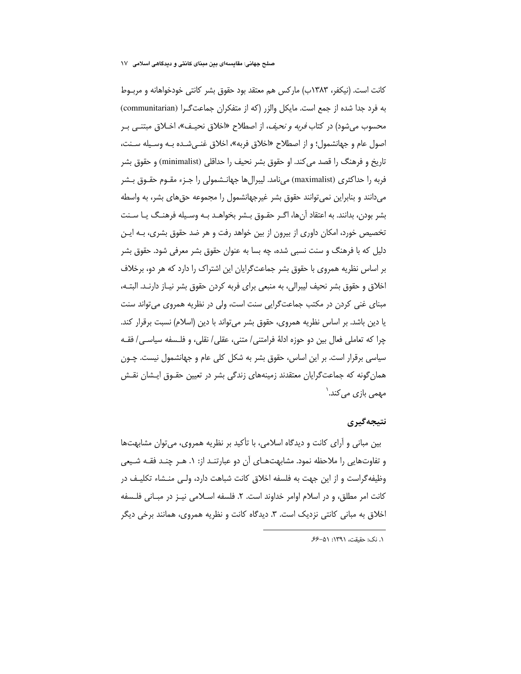کانت است. (نیکفر، ۱۳۸۳ب) مارکس هم معتقد بود حقوق بشر کانتی خودخواهانه و مربـوط به فرد جدا شده از جمع است. مایکل والزر (که از متفکران جماعتگرا (communitarian) محسوب می شود) در کتاب *فربه و نحیف*، از اصطلاح «اخلاق نحیـف»، اخـلاق مبتنـبی بـر اصول عام و جهانشمول؛ و از اصطلاح «اخلاق فربه»، اخلاق غنبي شـده بـه وسـيله سـنت، تاريخ و فرهنگ را قصد مي كند. او حقوق بشر نحيف را حداقلي (minimalist) و حقوق بشر فربه را حداکثری (maximalist) میiامد. لیبرال۱ها جهانـشمولی را جـزء مقـوم حقـوق بـشر می دانند و بنابراین نمی توانند حقوق بشر غیرجهانشمول را مجموعه حق های بشر، به واسطه بشر بودن، بدانند. به اعتقاد آنها، اگـر حقـوق بـشر بخواهـد بـه وسـيله فرهنـگ يـا سـنت تخصیص خورد، امکان داوری از بیرون از بین خواهد رفت و هر ضد حقوق بشری، بـه ایـن دلیل که با فرهنگ و سنت نسبی شده، چه بسا به عنوان حقوق بشر معرفی شود. حقوق بشر بر اساس نظریه همروی با حقوق بشر جماعتگرایان این اشتراک را دارد که هر دو، برخلاف اخلاق و حقوق بشر نحیف لیبرالی، به منبعی برای فربه کردن حقوق بشر نیـاز دارنـد. البتـه، مبنای غنی کردن در مکتب جماعتگرایی سنت است، ولی در نظریه همروی می تواند سنت یا دین باشد. بر اساس نظریه همروی، حقوق بشر میتواند با دین (اسلام) نسبت برقرار کند. چرا كه تعاملي فعال بين دو حوزه ادلهٔ فرامتني/ متني، عقلي/ نقلي، و فلـسفه سياسـي/ فقـه سیاسی برقرار است. بر این اساس، حقوق بشر به شکل کلی عام و جهانشمول نیست. چـون همان گونه که جماعتگرایان معتقدند زمینههای زندگی بشر در تعیین حقـوق ایـشان نقـش مھمی بازی می کند.<sup>\</sup>

#### نتيجەگيرى

بین مبانی و آرای کانت و دیدگاه اسلامی، با تأکید بر نظریه همروی، میتوان مشابهتها و تفاوتهایی را ملاحظه نمود. مشابهتهـای آن دو عبارتنـد از: ۱. هـر چنـد فقـه شـیعی وظیفه گراست و از این جهت به فلسفه اخلاق کانت شباهت دارد، ولـی منـشاء تکلیـف در كانت امر مطلق، و در اسلام اوامر خداوند است. ٢. فلسفه اسـلامي نيـز در مبـاني فلـسفه اخلاق به مبانی کانتی نزدیک است. ۳. دیدگاه کانت و نظریه همروی، همانند برخی دیگر

١. نک: حقیقت، ١٣٩١: ٥١-۶۶.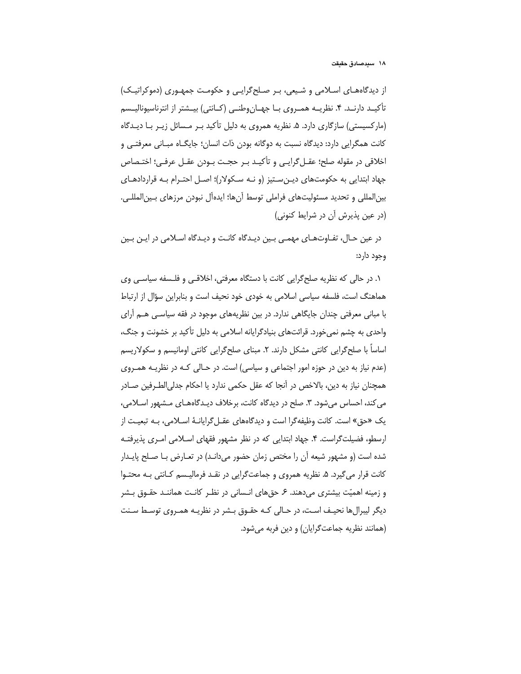از دیدگاههای اسلامی و شیعی، پیر صلح گرایبی و حکومت جمهبوری (دموکراتیک) تأكيـد دارنـد. ۴. نظريــه همــروى بــا جهــان وطنــى (كــانتى) بيــشتر از انترناسيوناليــسم (مارکسیستی) سازگاری دارد. ۵. نظریه همروی به دلیل تأکید بـر مـسائل زیـر بـا دیـدگاه کانت همگرایی دارد: دیدگاه نسبت به دوگانه بودن ذات انسان؛ جایگــاه مبــانی معرفتــی و اخلاقي در مقوله صلح؛ عقـل گرايـي و تأكيـد بـر حجـت بـودن عقـل عرفـي؛ اختـصاص جهاد ابتدایی به حکومتهای دیـن سـتیز (و نـه سـکولار)؛ اصـل احتـرام بـه قراردادهـای بين|لمللي و تحديد مسئوليتهاي فراملي توسط آنها؛ ايدهآل نبودن مرزهاي بـين|لمللـي. (در عین پذیرش آن در شرایط کنونی)

در عین حـال، تفـاوتهـای مهمـی بـین دیـدگاه کانـت و دیـدگاه اسـلامی در ایـن بـین وجود دارد:

١. در حالی که نظریه صلح گرایی کانت با دستگاه معرفتی، اخلاقبی و فلـسفه سیاسـی وی هماهنگ است، فلسفه سیاسی اسلامی به خودی خود نحیف است و بنابراین سؤال از ارتباط با مبانی معرفتی چندان جایگاهی ندارد. در بین نظریههای موجود در فقه سیاسی هــم آرای واحدی به چشم نمی خورد. قرائتهای بنیادگرایانه اسلامی به دلیل تأکید بر خشونت و جنگ، اساساً با صلح گرایی کانتی مشکل دارند. ۲. مبنای صلح گرایی کانتی اومانیسم و سکولاریسم (عدم نیاز به دین در حوزه امور اجتماعی و سیاسی) است. در حـالی کـه در نظریـه همـروی همچنان نیاز به دین، بالاخص در آنجا که عقل حکمی ندارد یا احکام جدلی|لطـرفین صـادر می کند، احساس می شود. ۳. صلح در دیدگاه کانت، برخلاف دیـدگاههـای مـشهور اسـلامی، یک «حق» است. کانت وظیفهگرا است و دیدگاههای عقـلگرایانـهٔ اسـلامی، بـه تبعیـت از ارسطه، فضیلتگراست. ۴. جهاد ابتدایی که در نظر مشهور فقهای اسلامی امری پذیرفته شده است (و مشهور شیعه آن را مختص زمان حضور می دانـد) در تعـارض بـا صـلح پایـدار کانت قرار می گیرد. ۵. نظریه همروی و جماعتگرایی در نقـد فرمالیـسم کـانتی بـه محتـوا و زمینه اهمیّت بیشتری می دهند. ۶ـ حقهای انـسانی در نظـر کانـت هماننـد حقـوق بـشر دیگر لیبرالها نحیـف اسـت، در حـالی کـه حقـوق بـشر در نظریـه همـروی توسـط سـنت (همانند نظريه جماعت گرايان) و دين فربه مي شود.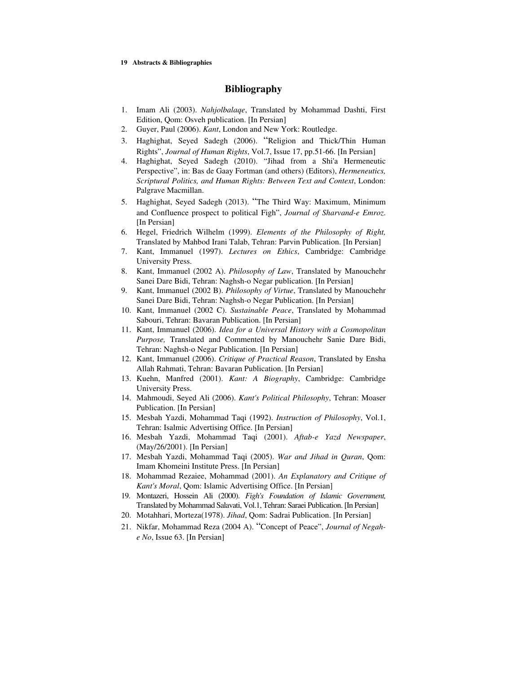#### **19 Abstracts & Bibliographies**

### **Bibliography**

- 1. Imam Ali (2003). *Nahjolbalaqe*, Translated by Mohammad Dashti, First Edition, Qom: Osveh publication. [In Persian]
- 2. Guyer, Paul (2006). *Kant*, London and New York: Routledge.
- 3. Haghighat, Seyed Sadegh (2006). "Religion and Thick/Thin Human Rights", *Journal of Human Rights*, Vol.7, Issue 17, pp.51-66. [In Persian]
- 4. Haghighat, Seyed Sadegh (2010). "Jihad from a Shi'a Hermeneutic Perspective", in: Bas de Gaay Fortman (and others) (Editors), *Hermeneutics, Scriptural Politics, and Human Rights: Between Text and Context*, London: Palgrave Macmillan.
- 5. Haghighat, Seyed Sadegh (2013). "The Third Way: Maximum, Minimum and Confluence prospect to political Figh", *Journal of Sharvand-e Emroz*. [In Persian]
- 6. Hegel, Friedrich Wilhelm (1999). *Elements of the Philosophy of Right,* Translated by Mahbod Irani Talab, Tehran: Parvin Publication. [In Persian]
- 7. Kant, Immanuel (1997). *Lectures on Ethics*, Cambridge: Cambridge University Press.
- 8. Kant, Immanuel (2002 A). *Philosophy of Law*, Translated by Manouchehr Sanei Dare Bidi, Tehran: Naghsh-o Negar publication. [In Persian]
- 9. Kant, Immanuel (2002 B). *Philosophy of Virtue*, Translated by Manouchehr Sanei Dare Bidi, Tehran: Naghsh-o Negar Publication. [In Persian]
- 10. Kant, Immanuel (2002 C). *Sustainable Peace*, Translated by Mohammad Sabouri, Tehran: Bavaran Publication. [In Persian]
- 11. Kant, Immanuel (2006). *Idea for a Universal History with a Cosmopolitan Purpose,* Translated and Commented by Manouchehr Sanie Dare Bidi, Tehran: Naghsh-o Negar Publication. [In Persian]
- 12. Kant, Immanuel (2006). *Critique of Practical Reason*, Translated by Ensha Allah Rahmati, Tehran: Bavaran Publication. [In Persian]
- 13. Kuehn, Manfred (2001). *Kant: A Biography*, Cambridge: Cambridge University Press.
- 14. Mahmoudi, Seyed Ali (2006). *Kant's Political Philosophy*, Tehran: Moaser Publication. [In Persian]
- 15. Mesbah Yazdi, Mohammad Taqi (1992). *Instruction of Philosophy*, Vol.1, Tehran: Isalmic Advertising Office. [In Persian]
- 16. Mesbah Yazdi, Mohammad Taqi (2001). *Aftab-e Yazd Newspaper*, (May/26/2001). [In Persian]
- 17. Mesbah Yazdi, Mohammad Taqi (2005). *War and Jihad in Quran*, Qom: Imam Khomeini Institute Press. [In Persian]
- 18. Mohammad Rezaiee, Mohammad (2001). *An Explanatory and Critique of Kant's Moral*, Qom: Islamic Advertising Office. [In Persian]
- 19. Montazeri, Hossein Ali (2000). *Figh's Foundation of Islamic Government,* Translated by Mohammad Salavati, Vol.1, Tehran: Saraei Publication. [In Persian]
- 20. Motahhari, Morteza(1978). *Jihad*, Qom: Sadrai Publication. [In Persian]
- 21. Nikfar, Mohammad Reza (2004 A). "Concept of Peace", *Journal of Negahe No*, Issue 63. [In Persian]